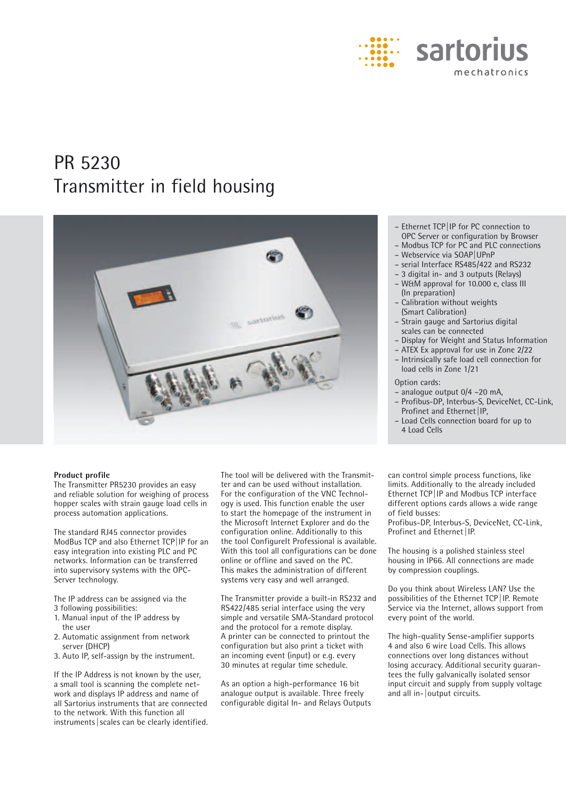

# PR 5230 Transmitter in field housing



#### **Product profile**

The Transmitter PR5230 provides an easy and reliable solution for weighing of process hopper scales with strain gauge load cells in process automation applications.

The standard RJ45 connector provides ModBus TCP and also Ethernet TCP|IP for an easy integration into existing PLC and PC networks. Information can be transferred into supervisory systems with the OPC-Server technology.

- The IP address can be assigned via the
- 3 following possibilities:
- 1. Manual input of the IP address by the user
- 2. Automatic assignment from network server (DHCP)
- 3. Auto IP, self-assign by the instrument.

If the IP Address is not known by the user, a small tool is scanning the complete network and displays IP address and name of all Sartorius instruments that are connected to the network. With this function all instruments | scales can be clearly identified. The tool will be delivered with the Transmitter and can be used without installation. For the configuration of the VNC Technology is used. This function enable the user to start the homepage of the instrument in the Microsoft Internet Explorer and do the configuration online. Additionally to this the tool ConfigureIt Professional is available. With this tool all configurations can be done online or offline and saved on the PC. This makes the administration of different systems very easy and well arranged.

The Transmitter provide a built-in RS232 and RS422/485 serial interface using the very simple and versatile SMA-Standard protocol and the protocol for a remote display. A printer can be connected to printout the configuration but also print a ticket with an incoming event (input) or e.g. every 30 minutes at regular time schedule.

As an option a high-performance 16 bit analogue output is available. Three freely configurable digital In- and Relays Outputs

- Ethernet TCP|IP for PC connection to OPC Server or configuration by Browser
- Modbus TCP for PC and PLC connections
- Webservice via SOAP|UPnP
- serial Interface RS485/422 and RS232
- 3 digital in- and 3 outputs (Relays)
- W&M approval for 10.000 e, class III (In preparation)
- Calibration without weights (Smart Calibration)
- Strain gauge and Sartorius digital scales can be connected
- Display for Weight and Status Information
- ATEX Ex approval for use in Zone 2/22
- Intrinsically safe load cell connection for

load cells in Zone 1/21

Option cards:

- analogue output 0/4 –20 mA,
- Profibus-DP, Interbus-S, DeviceNet, CC-Link, Profinet and Ethernet IP,
- Load Cells connection board for up to 4 Load Cells

can control simple process functions, like limits. Additionally to the already included Ethernet TCP|IP and Modbus TCP interface different options cards allows a wide range of field busses:

Profibus-DP, Interbus-S, DeviceNet, CC-Link, Profinet and Ethernet | IP.

The housing is a polished stainless steel housing in IP66. All connections are made by compression couplings.

Do you think about Wireless LAN? Use the possibilities of the Ethernet TCP|IP. Remote Service via the Internet, allows support from every point of the world.

The high-quality Sense-amplifier supports 4 and also 6 wire Load Cells. This allows connections over long distances without losing accuracy. Additional security guarantees the fully galvanically isolated sensor input circuit and supply from supply voltage and all in-|output circuits.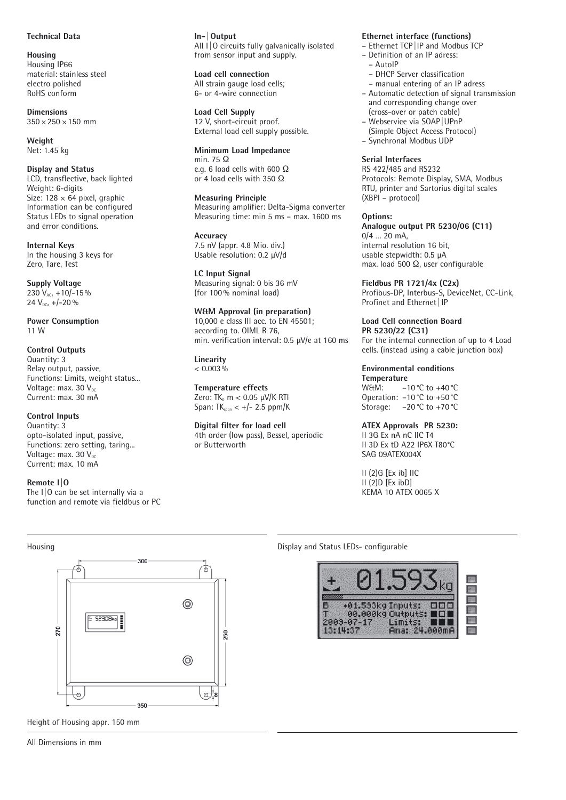## **Technical Data**

**Housing** Housing IP66 material: stainless steel electro polished RoHS conform

**Dimensions**  $350 \times 250 \times 150$  mm

**Weight** Net: 1.45 kg

**Display and Status** LCD, transflective, back lighted Weight: 6-digits Size:  $128 \times 64$  pixel, graphic Information can be configured Status LEDs to signal operation and error conditions.

**Internal Keys** In the housing 3 keys for Zero, Tare, Test

**Supply Voltage** 230  $V_{AC}$ , +10/-15%  $24 V_{DC}$ , +/-20 %

**Power Consumption** 11 W

# **Control Outputs**

Quantity: 3 Relay output, passive, Functions: Limits, weight status... Voltage: max. 30  $V_{\text{DC}}$ Current: max. 30 mA

# **Control Inputs**

Quantity: 3 opto-isolated input, passive, Functions: zero setting, taring... Voltage: max. 30  $V_{DC}$ Current: max. 10 mA

### **Remote I|O**

The I|O can be set internally via a function and remote via fieldbus or PC

#### **In- |Output** All  $1|0$  circuits fully galvanically isolated from sensor input and supply.

**Load cell connection** All strain gauge load cells; 6- or 4-wire connection

**Load Cell Supply** 12 V, short-circuit proof. External load cell supply possible.

**Minimum Load Impedance** min. 75  $\Omega$ e.g. 6 load cells with 600  $\Omega$ or 4 load cells with 350  $\Omega$ 

**Measuring Principle** Measuring amplifier: Delta-Sigma converter Measuring time: min 5 ms – max. 1600 ms

**Accuracy**  7.5 nV (appr. 4.8 Mio. div.) Usable resolution: 0.2 μV/d

**LC Input Signal** Measuring signal: 0 bis 36 mV (for 100% nominal load)

**W&M Approval (in preparation)** 10,000 e class III acc. to EN 45501;

according to. OIML R 76, min. verification interval: 0.5 μV/e at 160 ms

**Linearity**  $< 0.003\%$ 

or Butterworth

**Temperature effects** Zero: TK<sub>0</sub> m  $<$  0.05  $\mu$ V/K RTI Span:  $TK_{span}$  <  $+/-$  2.5 ppm/K

**Digital filter for load cell** 4th order (low pass), Bessel, aperiodic

# **Ethernet interface (functions)**

- Ethernet TCP|IP and Modbus TCP
- Definition of an IP adress:
	- AutoIP
	- DHCP Server classification
	- manual entering of an IP adress
- Automatic detection of signal transmission and corresponding change over (cross-over or patch cable)
- Webservice via SOAP|UPnP
- (Simple Object Access Protocol)
- Synchronal Modbus UDP

# **Serial Interfaces**

RS 422/485 and RS232 Protocols: Remote Display, SMA, Modbus RTU, printer and Sartorius digital scales (XBPI – protocol)

**Options: Analogue output PR 5230/06 (C11)**  $0/4$  ... 20 mA. internal resolution 16 bit, usable stepwidth: 0.5 μA max. load 500  $\Omega$ , user configurable

**Fieldbus PR 1721/4x (C2x)** Profibus-DP, Interbus-S, DeviceNet, CC-Link, Profinet and Ethernet | IP

#### **Load Cell connection Board PR 5230/22 (C31)**

For the internal connection of up to 4 Load cells. (instead using a cable junction box)

# **Environmental conditions**

**Temperature**  $-10 °C$  to  $+40 °C$ Operation: –10°C to +50°C Storage: –20°C to +70°C

**ATEX Approvals PR 5230:** II 3G Ex nA nC IIC T4 II 3D Ex tD A22 IP6X T80°C

SAG 09ATEX004X

II (2)G [Ex ib] IIC II (2)D [Ex ibD] KEMA 10 ATEX 0065 X



Height of Housing appr. 150 mm

Housing Display and Status LEDs- configurable

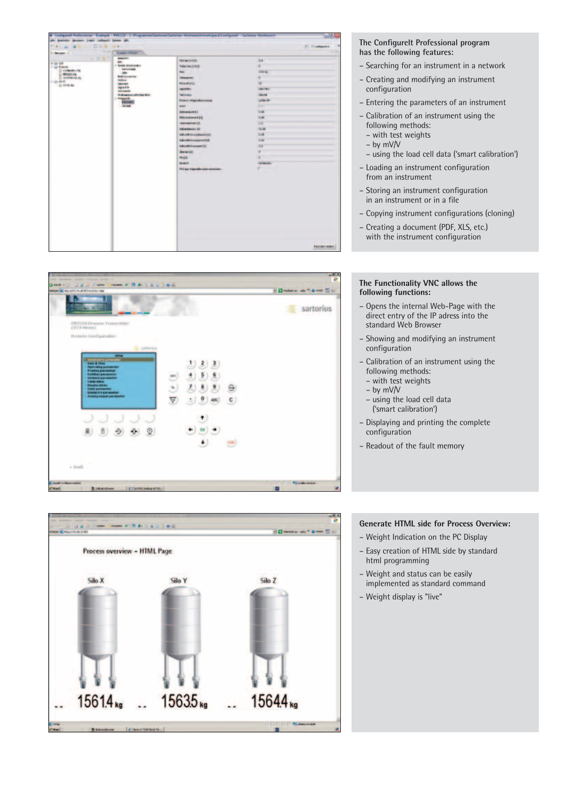



### **The Configurelt Professional program has the following features:**

- Searching for an instrument in a network
- Creating and modifying an instrument configuration
- Entering the parameters of an instrument
- Calibration of an instrument using the following methods:
	- with test weights
	- by mV/V
	- using the load cell data ('smart calibration')
- Loading an instrument configuration from an instrument
- Storing an instrument configuration in an instrument or in a file
- Copying instrument configurations (cloning)
- Creating a document (PDF, XLS, etc.) with the instrument configuration

### **The Functionality VNC allows the following functions:**

- Opens the internal Web-Page with the direct entry of the IP adress into the standard Web Browser
- Showing and modifying an instrument configuration
- Calibration of an instrument using the following methods:
	- with test weights
	- by mV/V
	- using the load cell data ('smart calibration')
- Displaying and printing the complete configuration
- Readout of the fault memory



# **Generate HTML side for Process Overview:**

- Weight Indication on the PC Display
- Easy creation of HTML side by standard html programming
- Weight and status can be easily implemented as standard command
- Weight display is "live"